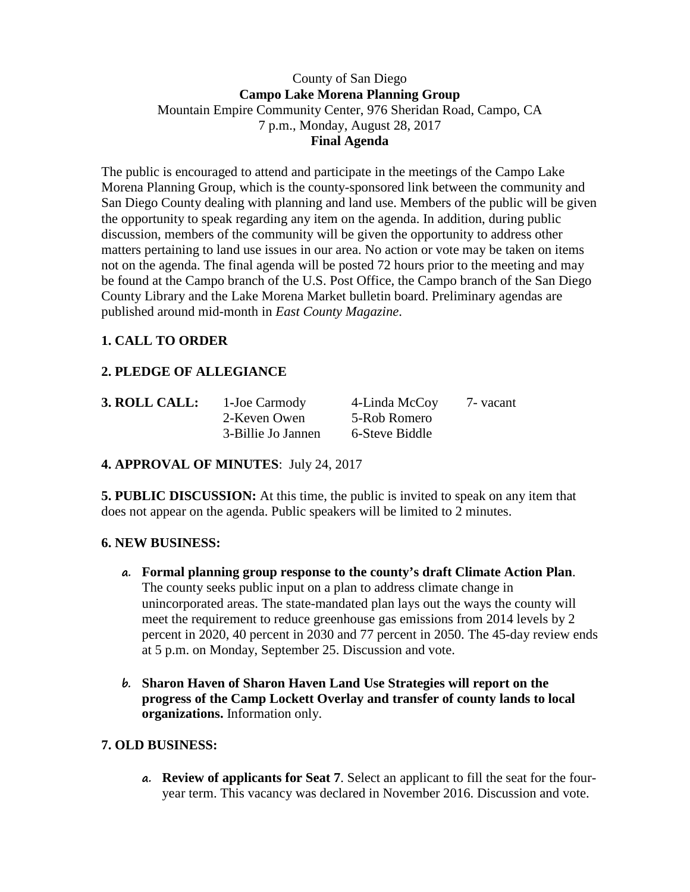#### County of San Diego **Campo Lake Morena Planning Group** Mountain Empire Community Center, 976 Sheridan Road, Campo, CA 7 p.m., Monday, August 28, 2017 **Final Agenda**

The public is encouraged to attend and participate in the meetings of the Campo Lake Morena Planning Group, which is the county-sponsored link between the community and San Diego County dealing with planning and land use. Members of the public will be given the opportunity to speak regarding any item on the agenda. In addition, during public discussion, members of the community will be given the opportunity to address other matters pertaining to land use issues in our area. No action or vote may be taken on items not on the agenda. The final agenda will be posted 72 hours prior to the meeting and may be found at the Campo branch of the U.S. Post Office, the Campo branch of the San Diego County Library and the Lake Morena Market bulletin board. Preliminary agendas are published around mid-month in *East County Magazine*.

## **1. CALL TO ORDER**

# **2. PLEDGE OF ALLEGIANCE**

| 3. ROLL CALL: | 1-Joe Carmody      | 4-Linda McCoy  | 7 - vacant |
|---------------|--------------------|----------------|------------|
|               | 2-Keven Owen       | 5-Rob Romero   |            |
|               | 3-Billie Jo Jannen | 6-Steve Biddle |            |

#### **4. APPROVAL OF MINUTES**: July 24, 2017

**5. PUBLIC DISCUSSION:** At this time, the public is invited to speak on any item that does not appear on the agenda. Public speakers will be limited to 2 minutes.

#### **6. NEW BUSINESS:**

- **a. Formal planning group response to the county's draft Climate Action Plan**. The county seeks public input on a plan to address climate change in unincorporated areas. The state-mandated plan lays out the ways the county will meet the requirement to reduce greenhouse gas emissions from 2014 levels by 2 percent in 2020, 40 percent in 2030 and 77 percent in 2050. The 45-day review ends at 5 p.m. on Monday, September 25. Discussion and vote.
- **b. Sharon Haven of Sharon Haven Land Use Strategies will report on the progress of the Camp Lockett Overlay and transfer of county lands to local organizations.** Information only.

## **7. OLD BUSINESS:**

**a. Review of applicants for Seat 7**. Select an applicant to fill the seat for the fouryear term. This vacancy was declared in November 2016. Discussion and vote.